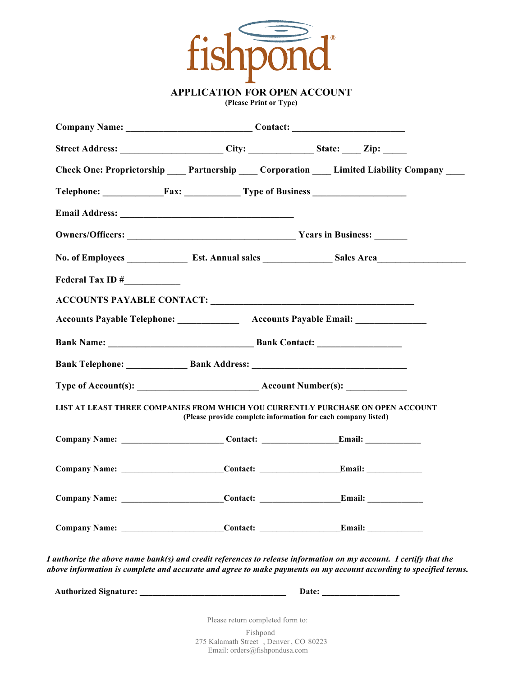

**APPLICATION FOR OPEN ACCOUNT**

**(Please Print or Type)**

|                  | Company Name: Contact: Contact:                                                                                |                                                                                                                                                                                                                                        |
|------------------|----------------------------------------------------------------------------------------------------------------|----------------------------------------------------------------------------------------------------------------------------------------------------------------------------------------------------------------------------------------|
|                  | Street Address: __________________________City: ________________State: ______Zip: ______                       |                                                                                                                                                                                                                                        |
|                  |                                                                                                                | Check One: Proprietorship _____ Partnership _____ Corporation _____ Limited Liability Company ____                                                                                                                                     |
|                  | Telephone: Fax: Type of Business                                                                               |                                                                                                                                                                                                                                        |
|                  |                                                                                                                |                                                                                                                                                                                                                                        |
|                  |                                                                                                                |                                                                                                                                                                                                                                        |
|                  |                                                                                                                |                                                                                                                                                                                                                                        |
| Federal Tax ID # |                                                                                                                |                                                                                                                                                                                                                                        |
|                  |                                                                                                                |                                                                                                                                                                                                                                        |
|                  |                                                                                                                | Accounts Payable Telephone: Accounts Payable Email: Accounts Payable Email:                                                                                                                                                            |
|                  |                                                                                                                |                                                                                                                                                                                                                                        |
|                  |                                                                                                                |                                                                                                                                                                                                                                        |
|                  |                                                                                                                |                                                                                                                                                                                                                                        |
|                  |                                                                                                                |                                                                                                                                                                                                                                        |
|                  | (Please provide complete information for each company listed)                                                  | LIST AT LEAST THREE COMPANIES FROM WHICH YOU CURRENTLY PURCHASE ON OPEN ACCOUNT                                                                                                                                                        |
|                  | Company Name: _________________________________Contact: _________________________Email: ______________________ |                                                                                                                                                                                                                                        |
|                  |                                                                                                                |                                                                                                                                                                                                                                        |
|                  |                                                                                                                |                                                                                                                                                                                                                                        |
|                  |                                                                                                                |                                                                                                                                                                                                                                        |
|                  |                                                                                                                | I authorize the above name bank(s) and credit references to release information on my account. I certify that the<br>above information is complete and accurate and agree to make payments on my account according to specified terms. |